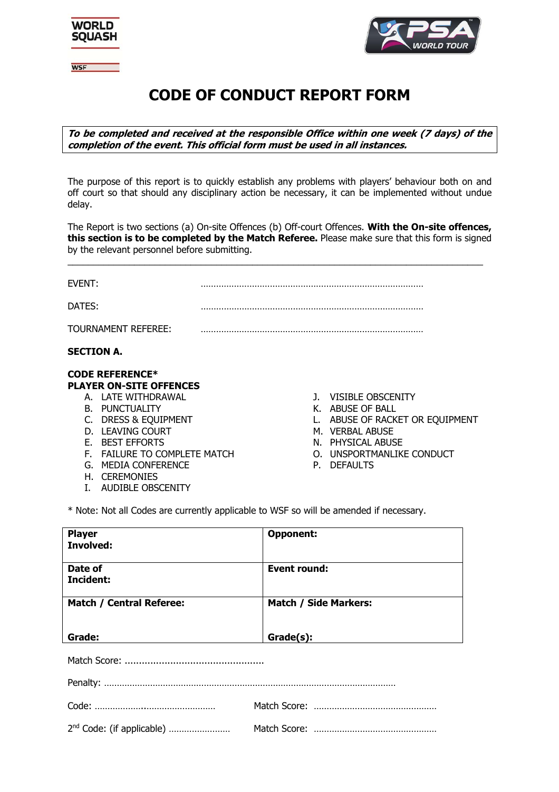



## **CODE OF CONDUCT REPORT FORM**

**To be completed and received at the responsible Office within one week (7 days) of the completion of the event. This official form must be used in all instances.** 

The purpose of this report is to quickly establish any problems with players' behaviour both on and off court so that should any disciplinary action be necessary, it can be implemented without undue delay.

The Report is two sections (a) On-site Offences (b) Off-court Offences. **With the On-site offences, this section is to be completed by the Match Referee.** Please make sure that this form is signed by the relevant personnel before submitting.

\_\_\_\_\_\_\_\_\_\_\_\_\_\_\_\_\_\_\_\_\_\_\_\_\_\_\_\_\_\_\_\_\_\_\_\_\_\_\_\_\_\_\_\_\_\_\_\_\_\_\_\_\_\_\_\_\_\_\_\_\_\_\_\_\_\_\_\_\_\_\_\_\_\_\_\_\_\_\_\_\_

| <b>FVFN1</b> |  |
|--------------|--|
| <b>DATES</b> |  |

TOURNAMENT REFEREE: ……………………………………………………………………………

## **SECTION A.**

## **CODE REFERENCE\* PLAYER ON-SITE OFFENCES**

- A. LATE WITHDRAWAL
- B. PUNCTUALITY
- C. DRESS & EQUIPMENT
- D. LEAVING COURT
- E. BEST EFFORTS
- F. FAILURE TO COMPLETE MATCH
- G. MEDIA CONFERENCE
- H. CEREMONIES
- I. AUDIBLE OBSCENITY
- J. VISIBLE OBSCENITY
- K. ABUSE OF BALL
- L. ABUSE OF RACKET OR EQUIPMENT
- M. VERBAL ABUSE
- N. PHYSICAL ABUSE
- O. UNSPORTMANLIKE CONDUCT
- P. DEFAULTS

\* Note: Not all Codes are currently applicable to WSF so will be amended if necessary.

| <b>Player</b><br>Involved:      | <b>Opponent:</b>             |
|---------------------------------|------------------------------|
| Date of<br>Incident:            | <b>Event round:</b>          |
| <b>Match / Central Referee:</b> | <b>Match / Side Markers:</b> |
|                                 |                              |
| Grade:                          | Grade(s):                    |
|                                 |                              |
|                                 |                              |

2nd Code: (if applicable) …………………… Match Score: …………………………………………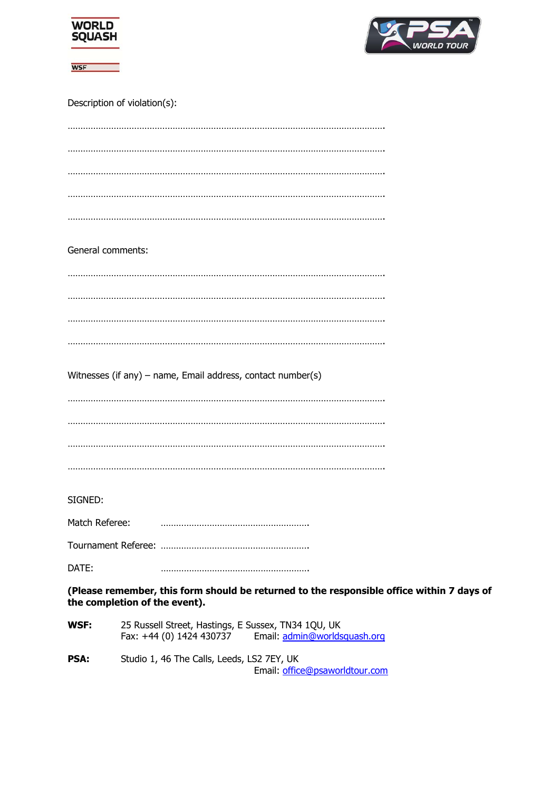| WORLD<br><b>SQUASH</b> |  |
|------------------------|--|
| <b>WSF</b>             |  |



Description of violation(s):

| General comments: |                                                                                                                 |
|-------------------|-----------------------------------------------------------------------------------------------------------------|
|                   |                                                                                                                 |
|                   |                                                                                                                 |
|                   |                                                                                                                 |
|                   |                                                                                                                 |
|                   | Witnesses (if any) - name, Email address, contact number(s)                                                     |
|                   |                                                                                                                 |
|                   |                                                                                                                 |
|                   |                                                                                                                 |
|                   |                                                                                                                 |
|                   |                                                                                                                 |
| SIGNED:           |                                                                                                                 |
| Match Referee:    |                                                                                                                 |
|                   |                                                                                                                 |
| DATE:             |                                                                                                                 |
|                   | (Please remember, this form should be returned to the responsible office within 7 days of                       |
|                   | the completion of the event).                                                                                   |
| WSF:              | 25 Russell Street, Hastings, E Sussex, TN34 1QU, UK<br>Fax: +44 (0) 1424 430737<br>Email: admin@worldsquash.org |
| PSA:              | Studio 1, 46 The Calls, Leeds, LS2 7EY, UK                                                                      |

Email: office@psaworldtour.com